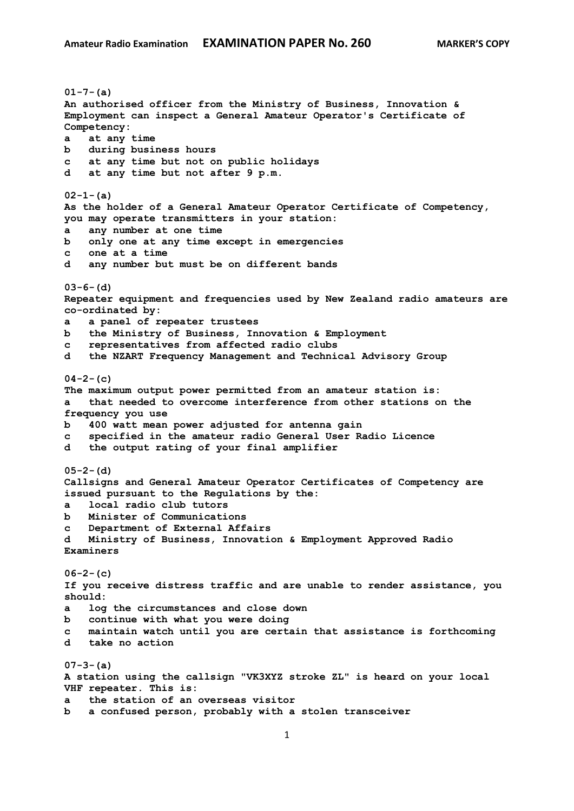**01-7-(a) An authorised officer from the Ministry of Business, Innovation & Employment can inspect a General Amateur Operator's Certificate of Competency: a at any time b during business hours c at any time but not on public holidays d at any time but not after 9 p.m. 02-1-(a) As the holder of a General Amateur Operator Certificate of Competency, you may operate transmitters in your station: a any number at one time b only one at any time except in emergencies c one at a time d any number but must be on different bands 03-6-(d) Repeater equipment and frequencies used by New Zealand radio amateurs are co-ordinated by: a a panel of repeater trustees b the Ministry of Business, Innovation & Employment c representatives from affected radio clubs d the NZART Frequency Management and Technical Advisory Group 04-2-(c) The maximum output power permitted from an amateur station is: a that needed to overcome interference from other stations on the frequency you use b 400 watt mean power adjusted for antenna gain c specified in the amateur radio General User Radio Licence d the output rating of your final amplifier 05-2-(d) Callsigns and General Amateur Operator Certificates of Competency are issued pursuant to the Regulations by the: a local radio club tutors b Minister of Communications c Department of External Affairs d Ministry of Business, Innovation & Employment Approved Radio Examiners 06-2-(c) If you receive distress traffic and are unable to render assistance, you should: a log the circumstances and close down b continue with what you were doing c maintain watch until you are certain that assistance is forthcoming d take no action 07-3-(a) A station using the callsign "VK3XYZ stroke ZL" is heard on your local VHF repeater. This is: a the station of an overseas visitor b a confused person, probably with a stolen transceiver**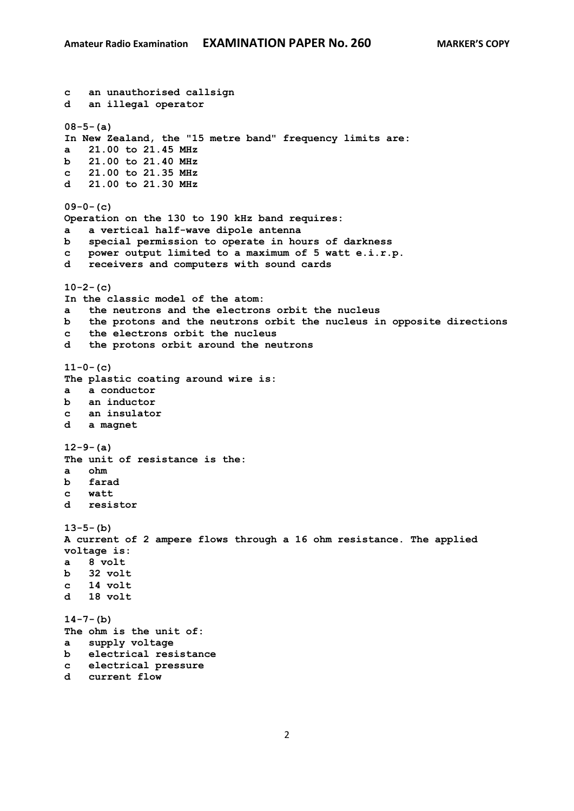```
c an unauthorised callsign
d an illegal operator
08-5-(a)
In New Zealand, the "15 metre band" frequency limits are:
a 21.00 to 21.45 MHz
b 21.00 to 21.40 MHz
c 21.00 to 21.35 MHz
d 21.00 to 21.30 MHz
09-0-(c)
Operation on the 130 to 190 kHz band requires:
a a vertical half-wave dipole antenna
b special permission to operate in hours of darkness
c power output limited to a maximum of 5 watt e.i.r.p.
    d receivers and computers with sound cards
10-2-(c)
In the classic model of the atom:
a the neutrons and the electrons orbit the nucleus
b the protons and the neutrons orbit the nucleus in opposite directions
c the electrons orbit the nucleus
d the protons orbit around the neutrons
11-0-(c)
The plastic coating around wire is:
a a conductor
b an inductor 
c an insulator
d a magnet
12-9-(a)
The unit of resistance is the:
a ohm
b farad
c watt
d resistor
13-5-(b)
A current of 2 ampere flows through a 16 ohm resistance. The applied 
voltage is:
a 8 volt
b 32 volt
c 14 volt 
d 18 volt 
14-7-(b)
The ohm is the unit of:
a supply voltage
b electrical resistance
c electrical pressure
d current flow
```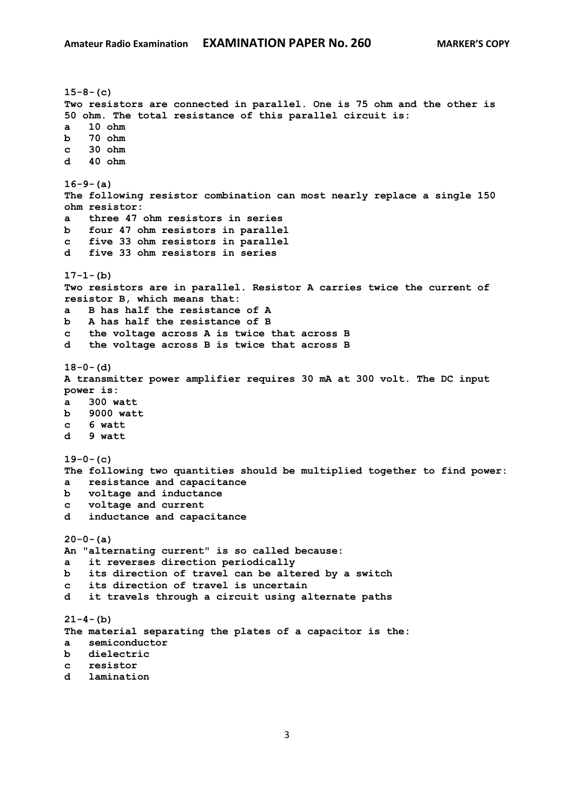```
15-8-(c)
Two resistors are connected in parallel. One is 75 ohm and the other is 
50 ohm. The total resistance of this parallel circuit is:
a 10 ohm
b 70 ohm 
c 30 ohm 
d 40 ohm 
16-9-(a)
The following resistor combination can most nearly replace a single 150 
ohm resistor:
a three 47 ohm resistors in series
b four 47 ohm resistors in parallel
c five 33 ohm resistors in parallel 
d five 33 ohm resistors in series
17-1-(b)
Two resistors are in parallel. Resistor A carries twice the current of 
resistor B, which means that:
a B has half the resistance of A
b A has half the resistance of B 
c the voltage across A is twice that across B
d the voltage across B is twice that across B 
18-0-(d)
A transmitter power amplifier requires 30 mA at 300 volt. The DC input 
power is:
a 300 watt
b 9000 watt
c 6 watt
d 9 watt 
19-0-(c)
The following two quantities should be multiplied together to find power:
a resistance and capacitance
b voltage and inductance
c voltage and current
d inductance and capacitance
20-0-(a)
An "alternating current" is so called because:
a it reverses direction periodically
b its direction of travel can be altered by a switch
c its direction of travel is uncertain
d it travels through a circuit using alternate paths
21-4-(b)
The material separating the plates of a capacitor is the:
a semiconductor
b dielectric
c resistor
d lamination
```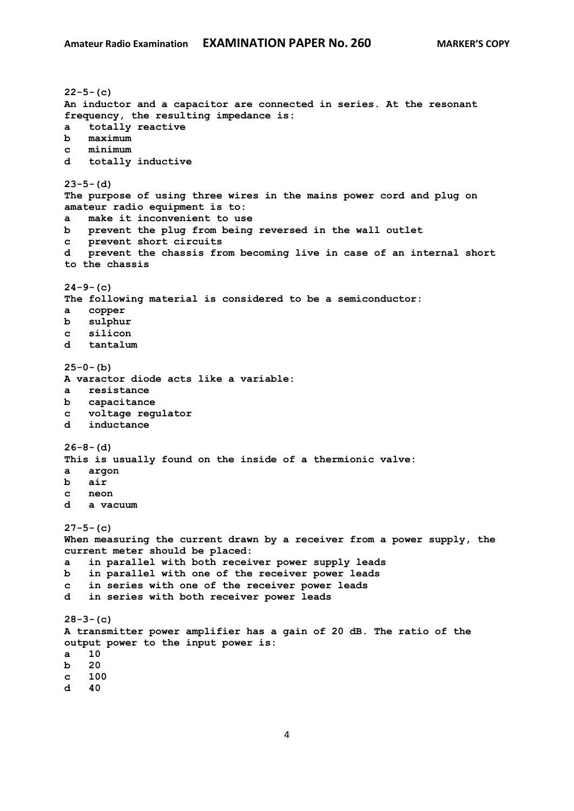**22-5-(c) An inductor and a capacitor are connected in series. At the resonant frequency, the resulting impedance is: a totally reactive b maximum c minimum d totally inductive 23-5-(d) The purpose of using three wires in the mains power cord and plug on amateur radio equipment is to: a make it inconvenient to use b prevent the plug from being reversed in the wall outlet c prevent short circuits d prevent the chassis from becoming live in case of an internal short to the chassis 24-9-(c) The following material is considered to be a semiconductor: a copper b sulphur c silicon d tantalum 25-0-(b) A varactor diode acts like a variable: a resistance b capacitance c voltage regulator d inductance 26-8-(d) This is usually found on the inside of a thermionic valve: a argon b air c neon d a vacuum 27-5-(c) When measuring the current drawn by a receiver from a power supply, the current meter should be placed: a in parallel with both receiver power supply leads b in parallel with one of the receiver power leads c in series with one of the receiver power leads d in series with both receiver power leads 28-3-(c) A transmitter power amplifier has a gain of 20 dB. The ratio of the output power to the input power is: a 10 b 20 c 100**

**d 40**

4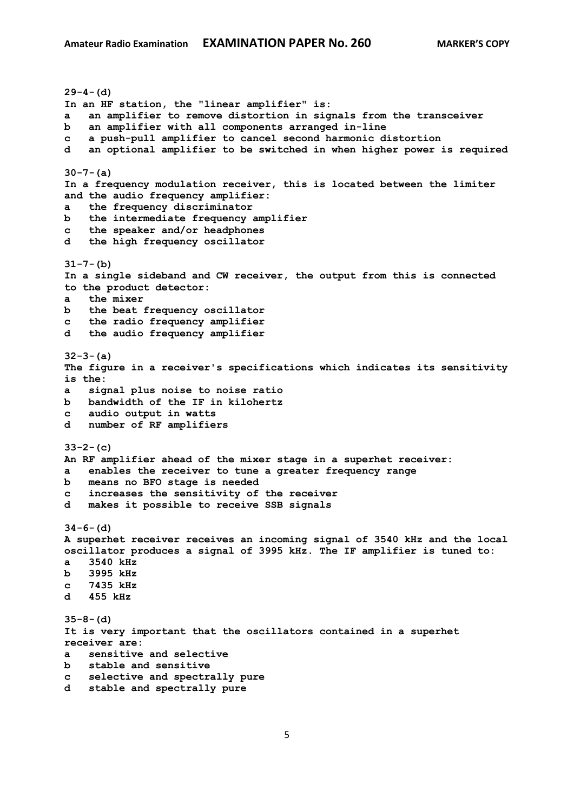**29-4-(d) In an HF station, the "linear amplifier" is: a an amplifier to remove distortion in signals from the transceiver b an amplifier with all components arranged in-line c a push-pull amplifier to cancel second harmonic distortion d an optional amplifier to be switched in when higher power is required 30-7-(a) In a frequency modulation receiver, this is located between the limiter and the audio frequency amplifier: a the frequency discriminator b the intermediate frequency amplifier c the speaker and/or headphones d the high frequency oscillator 31-7-(b) In a single sideband and CW receiver, the output from this is connected to the product detector: a the mixer b the beat frequency oscillator c the radio frequency amplifier d the audio frequency amplifier 32-3-(a) The figure in a receiver's specifications which indicates its sensitivity is the: a signal plus noise to noise ratio b bandwidth of the IF in kilohertz c audio output in watts d number of RF amplifiers 33-2-(c) An RF amplifier ahead of the mixer stage in a superhet receiver: a enables the receiver to tune a greater frequency range b means no BFO stage is needed c increases the sensitivity of the receiver d makes it possible to receive SSB signals 34-6-(d) A superhet receiver receives an incoming signal of 3540 kHz and the local oscillator produces a signal of 3995 kHz. The IF amplifier is tuned to: a 3540 kHz b 3995 kHz c 7435 kHz d 455 kHz 35-8-(d) It is very important that the oscillators contained in a superhet receiver are: a sensitive and selective b stable and sensitive c selective and spectrally pure d stable and spectrally pure**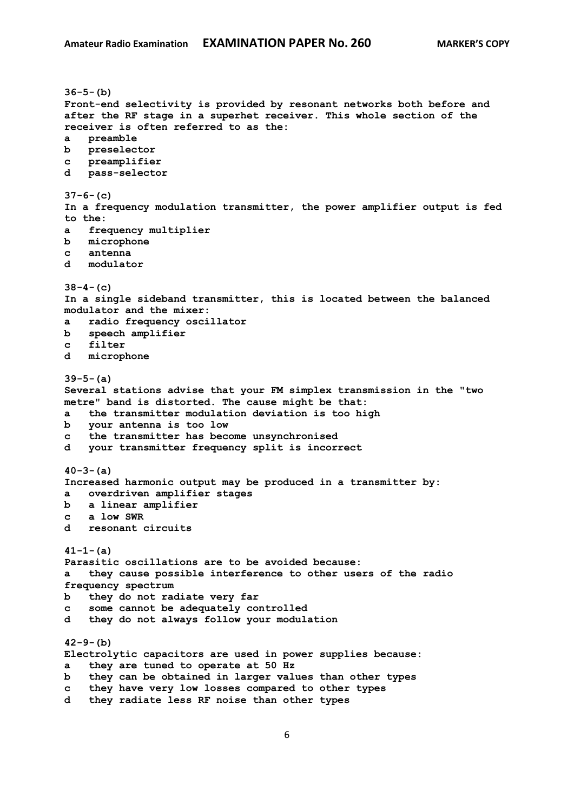```
36-5-(b)
Front-end selectivity is provided by resonant networks both before and 
after the RF stage in a superhet receiver. This whole section of the 
receiver is often referred to as the:
a preamble
b preselector
c preamplifier
d pass-selector
37-6-(c)
In a frequency modulation transmitter, the power amplifier output is fed 
to the:
a frequency multiplier
b microphone
c antenna
d modulator
38-4-(c)
In a single sideband transmitter, this is located between the balanced 
modulator and the mixer:
a radio frequency oscillator
b speech amplifier
c filter
d microphone
39-5-(a)
Several stations advise that your FM simplex transmission in the "two 
metre" band is distorted. The cause might be that:
a the transmitter modulation deviation is too high
b your antenna is too low
c the transmitter has become unsynchronised
d your transmitter frequency split is incorrect
40-3-(a)
Increased harmonic output may be produced in a transmitter by:
a overdriven amplifier stages
b a linear amplifier
c a low SWR
d resonant circuits
41-1-(a)
Parasitic oscillations are to be avoided because:
a they cause possible interference to other users of the radio 
frequency spectrum
b they do not radiate very far
c some cannot be adequately controlled
d they do not always follow your modulation
42-9-(b)
Electrolytic capacitors are used in power supplies because:
a they are tuned to operate at 50 Hz
b they can be obtained in larger values than other types
c they have very low losses compared to other types
d they radiate less RF noise than other types
```
6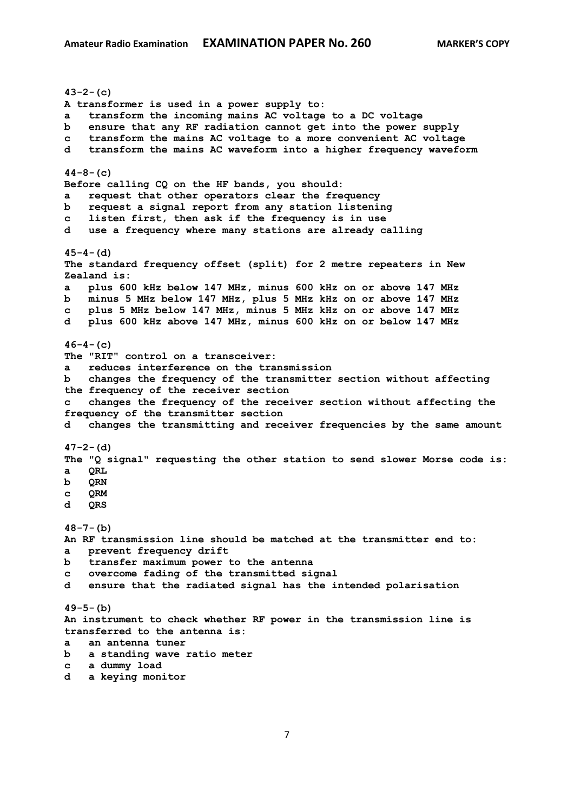**43-2-(c) A transformer is used in a power supply to: a transform the incoming mains AC voltage to a DC voltage b ensure that any RF radiation cannot get into the power supply c transform the mains AC voltage to a more convenient AC voltage d transform the mains AC waveform into a higher frequency waveform 44-8-(c) Before calling CQ on the HF bands, you should: a request that other operators clear the frequency b request a signal report from any station listening c listen first, then ask if the frequency is in use d use a frequency where many stations are already calling 45-4-(d) The standard frequency offset (split) for 2 metre repeaters in New Zealand is: a plus 600 kHz below 147 MHz, minus 600 kHz on or above 147 MHz b minus 5 MHz below 147 MHz, plus 5 MHz kHz on or above 147 MHz c plus 5 MHz below 147 MHz, minus 5 MHz kHz on or above 147 MHz d plus 600 kHz above 147 MHz, minus 600 kHz on or below 147 MHz 46-4-(c) The "RIT" control on a transceiver: a reduces interference on the transmission b changes the frequency of the transmitter section without affecting the frequency of the receiver section c changes the frequency of the receiver section without affecting the frequency of the transmitter section d changes the transmitting and receiver frequencies by the same amount 47-2-(d) The "Q signal" requesting the other station to send slower Morse code is: a QRL b QRN c QRM d QRS 48-7-(b) An RF transmission line should be matched at the transmitter end to: a prevent frequency drift b transfer maximum power to the antenna c overcome fading of the transmitted signal d ensure that the radiated signal has the intended polarisation 49-5-(b) An instrument to check whether RF power in the transmission line is transferred to the antenna is: a an antenna tuner b a standing wave ratio meter c a dummy load**

**d a keying monitor**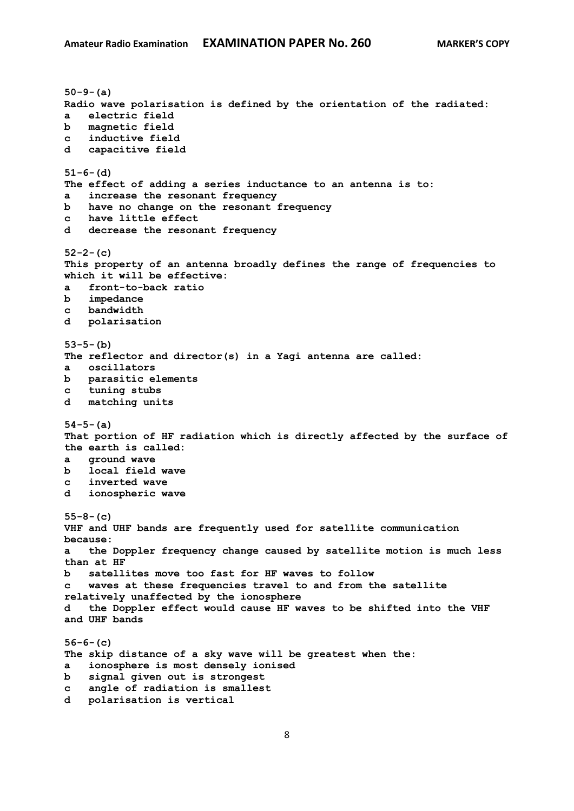```
50-9-(a)
Radio wave polarisation is defined by the orientation of the radiated:
a electric field
b magnetic field
c inductive field
d capacitive field
51-6-(d)
The effect of adding a series inductance to an antenna is to:
a increase the resonant frequency
b have no change on the resonant frequency
c have little effect
d decrease the resonant frequency
52-2-(c)
This property of an antenna broadly defines the range of frequencies to 
which it will be effective:
a front-to-back ratio
b impedance
c bandwidth
d polarisation
53-5-(b)
The reflector and director(s) in a Yagi antenna are called:
a oscillators
b parasitic elements
c tuning stubs
d matching units
54-5-(a)
That portion of HF radiation which is directly affected by the surface of 
the earth is called:
a ground wave
b local field wave
c inverted wave
d ionospheric wave
55-8-(c)
VHF and UHF bands are frequently used for satellite communication 
because:
a the Doppler frequency change caused by satellite motion is much less 
than at HF
b satellites move too fast for HF waves to follow
c waves at these frequencies travel to and from the satellite 
relatively unaffected by the ionosphere
d the Doppler effect would cause HF waves to be shifted into the VHF 
and UHF bands
56-6-(c)
The skip distance of a sky wave will be greatest when the:
a ionosphere is most densely ionised
b signal given out is strongest
c angle of radiation is smallest
d polarisation is vertical
```